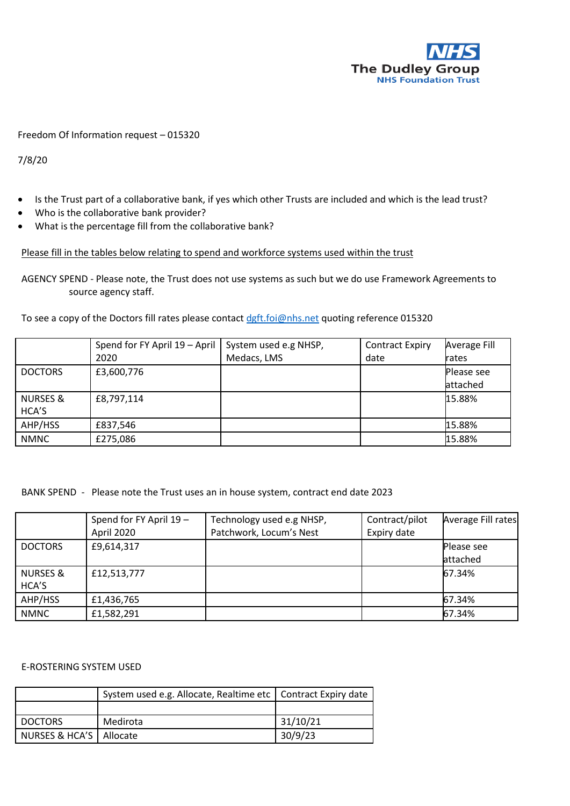

## Freedom Of Information request – 015320

7/8/20

- Is the Trust part of a collaborative bank, if yes which other Trusts are included and which is the lead trust?
- Who is the collaborative bank provider?
- What is the percentage fill from the collaborative bank?

## Please fill in the tables below relating to spend and workforce systems used within the trust

AGENCY SPEND - Please note, the Trust does not use systems as such but we do use Framework Agreements to source agency staff.

To see a copy of the Doctors fill rates please contact [dgft.foi@nhs.net](mailto:dgft.foi@nhs.net) quoting reference 015320

|                     | Spend for FY April 19 - April | System used e.g NHSP, | <b>Contract Expiry</b> | Average Fill |
|---------------------|-------------------------------|-----------------------|------------------------|--------------|
|                     | 2020                          | Medacs, LMS           | date                   | rates        |
| <b>DOCTORS</b>      | £3,600,776                    |                       |                        | Please see   |
|                     |                               |                       |                        | attached     |
| <b>NURSES &amp;</b> | £8,797,114                    |                       |                        | 15.88%       |
| HCA'S               |                               |                       |                        |              |
| AHP/HSS             | £837,546                      |                       |                        | 15.88%       |
| <b>NMNC</b>         | £275,086                      |                       |                        | 15.88%       |

BANK SPEND - Please note the Trust uses an in house system, contract end date 2023

|                     | Spend for FY April 19 -<br>April 2020 | Technology used e.g NHSP,<br>Patchwork, Locum's Nest | Contract/pilot<br>Expiry date | Average Fill rates |
|---------------------|---------------------------------------|------------------------------------------------------|-------------------------------|--------------------|
|                     |                                       |                                                      |                               |                    |
| <b>DOCTORS</b>      | £9,614,317                            |                                                      |                               | Please see         |
|                     |                                       |                                                      |                               | attached           |
| <b>NURSES &amp;</b> | £12,513,777                           |                                                      |                               | 67.34%             |
| HCA'S               |                                       |                                                      |                               |                    |
| AHP/HSS             | £1,436,765                            |                                                      |                               | 67.34%             |
| <b>NMNC</b>         | £1,582,291                            |                                                      |                               | 67.34%             |

E-ROSTERING SYSTEM USED

|                           | System used e.g. Allocate, Realtime etc   Contract Expiry date |          |
|---------------------------|----------------------------------------------------------------|----------|
|                           |                                                                |          |
| <b>DOCTORS</b>            | Medirota                                                       | 31/10/21 |
| NURSES & HCA'S   Allocate |                                                                | 30/9/23  |